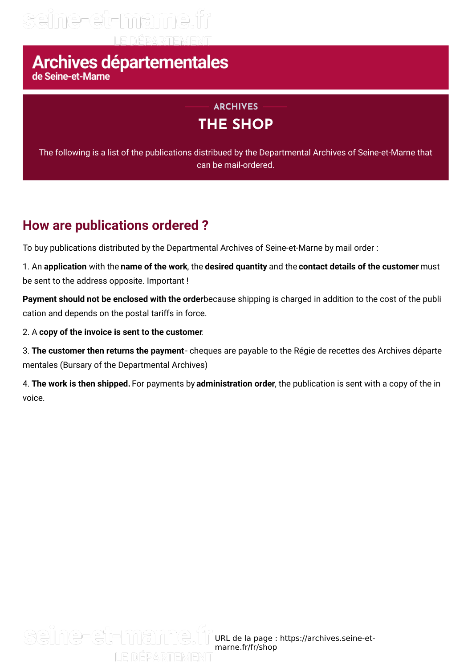## seïne-et-mame.fr

# Archives départementales

### **THE SHOP ARCHIVES**

The following is a list of the publications distribued by the Departmental Archives of Seine-et-Marne that can be mail-ordered.

### **How are publications ordered ?**

To buy publications distributed by the Departmental Archives of Seine-et-Marne by mail order :

1. An **application** with the **name of the work**, the **desired quantity** and the **contact details of the customer** must be sent to the address opposite. Important !

**Payment should not be enclosed with the order**because shipping is charged in addition to the cost of the publi cation and depends on the postal tariffs in force.

#### 2. A **copy of the invoice is sent to the customer**.

3. **The customer then returns the payment**- cheques are payable to the Régie de recettes des Archives départe mentales (Bursary of the Departmental Archives)

4. **The work is then shipped.** For payments by **administration order**, the publication is sent with a copy of the in voice.

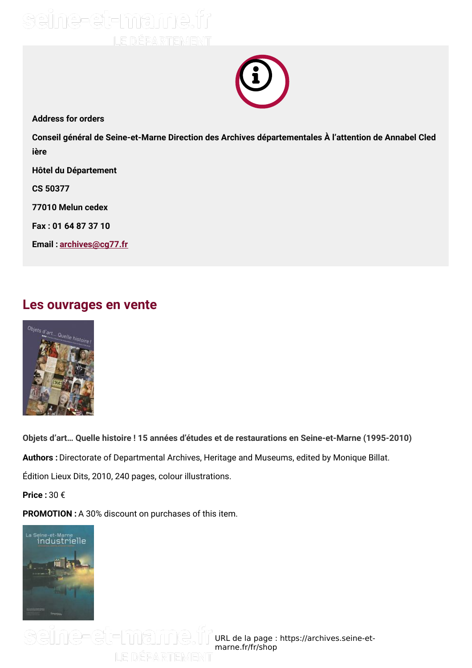



**Address for orders**

**Conseil général de Seine-et-Marne Direction des Archives départementales À l'attention de Annabel Cled ière**

**Hôtel du Département**

**CS 50377**

**77010 Melun cedex**

**Fax : 01 64 87 37 10**

**Email : [archives@cg77.fr](mailto:archives@cg77.fr)**

### **Les ouvrages en vente**



**Objets d'art… Quelle histoire ! 15 années d'études et de restaurations en Seine-et-Marne (1995-2010)**

**Authors :** Directorate of Departmental Archives, Heritage and Museums, edited by Monique Billat.

Édition Lieux Dits, 2010, 240 pages, colour illustrations.

**Price :** 30 €

**PROMOTION :** A 30% discount on purchases of this item.

LE DÉPARTEMENT



URL de la page : https://archives.seine-et marne.fr/fr/shop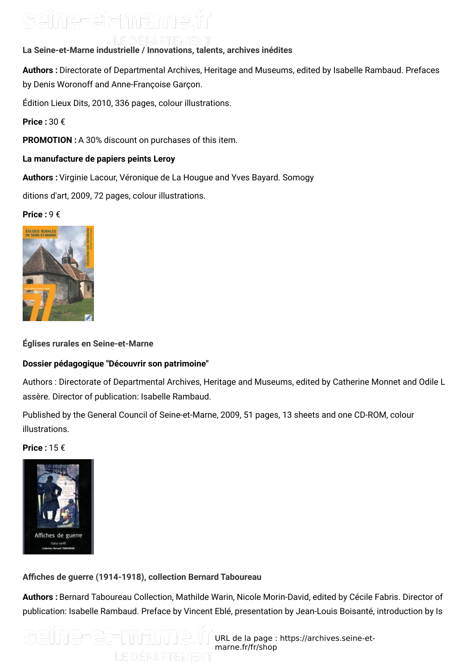### seine-et-mame.fr

LE DIEPARTIEMIENT **La Seine-et-Marne industrielle / Innovations, talents, archives inédites**

**Authors :** Directorate of Departmental Archives, Heritage and Museums, edited by Isabelle Rambaud. Prefaces by Denis Woronoff and Anne-Françoise Garçon.

Édition Lieux Dits, 2010, 336 pages, colour illustrations.

**Price :** 30 €

**PROMOTION :** A 30% discount on purchases of this item.

#### **La manufacture de papiers peints Leroy**

**Authors :** Virginie Lacour, Véronique de La Hougue and Yves Bayard. Somogy

ditions d'art, 2009, 72 pages, colour illustrations.

#### **Price :** 9 €



**Églises rurales en Seine-et-Marne**

#### **Dossier pédagogique "Découvrir son patrimoine"**

Authors : Directorate of Departmental Archives, Heritage and Museums, edited by Catherine Monnet and Odile L assère. Director of publication: Isabelle Rambaud.

Published by the General Council of Seine-et-Marne, 2009, 51 pages, 13 sheets and one CD-ROM, colour illustrations.

**Price :** 15 €



#### **AGches de guerre (1914-1918), collection Bernard Taboureau**

**Authors :** Bernard Taboureau Collection, Mathilde Warin, Nicole Morin-David, edited by Cécile Fabris. Director of publication: Isabelle Rambaud. Preface by Vincent Eblé, presentation by Jean-Louis Boisanté, introduction by Is

seïne-et-mame.t URL de la page : https://archives.seine-et marne.fr/fr/shopLE DÉPARTEMENT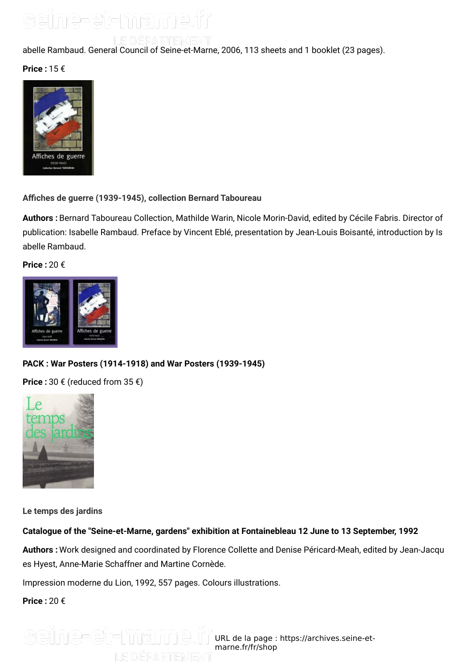### seine-et-mame.fr

LE DÉPARTEMENT

abelle Rambaud. General Council of Seine-et-Marne, 2006, 113 sheets and 1 booklet (23 pages).

**Price :** 15 €



**AGches de guerre (1939-1945), collection Bernard Taboureau**

**Authors :** Bernard Taboureau Collection, Mathilde Warin, Nicole Morin-David, edited by Cécile Fabris. Director of publication: Isabelle Rambaud. Preface by Vincent Eblé, presentation by Jean-Louis Boisanté, introduction by Is abelle Rambaud.

**Price :** 20 €



#### **PACK : War Posters (1914-1918) and War Posters (1939-1945)**

**Price :** 30 € (reduced from 35 €)



**Le temps des jardins**

#### **Catalogue of the "Seine-et-Marne, gardens" exhibition at Fontainebleau 12 June to 13 September, 1992**

**Authors :** Work designed and coordinated by Florence Collette and Denise Péricard-Meah, edited by Jean-Jacqu es Hyest, Anne-Marie Schaffner and Martine Cornède.

Impression moderne du Lion, 1992, 557 pages. Colours illustrations.

**Price :** 20 €